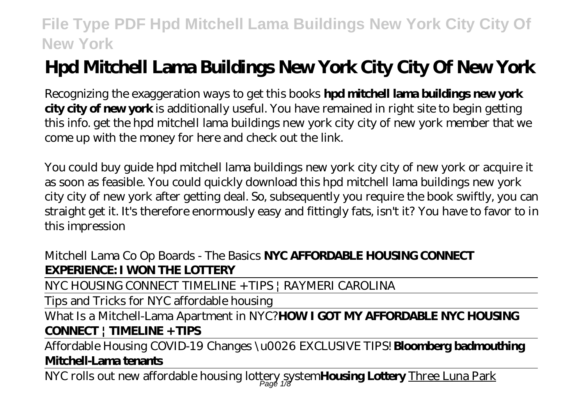# **Hpd Mitchell Lama Buildings New York City City Of New York**

Recognizing the exaggeration ways to get this books **hpd mitchell lama buildings new york city city of new york** is additionally useful. You have remained in right site to begin getting this info. get the hpd mitchell lama buildings new york city city of new york member that we come up with the money for here and check out the link.

You could buy guide hpd mitchell lama buildings new york city city of new york or acquire it as soon as feasible. You could quickly download this hpd mitchell lama buildings new york city city of new york after getting deal. So, subsequently you require the book swiftly, you can straight get it. It's therefore enormously easy and fittingly fats, isn't it? You have to favor to in this impression

### Mitchell Lama Co Op Boards - The Basics **NYC AFFORDABLE HOUSING CONNECT EXPERIENCE: I WON THE LOTTERY**

NYC HOUSING CONNECT TIMELINE + TIPS | RAYMERI CAROLINA

Tips and Tricks for NYC affordable housing

What Is a Mitchell-Lama Apartment in NYC?**HOW I GOT MY AFFORDABLE NYC HOUSING CONNECT | TIMELINE + TIPS**

Affordable Housing COVID-19 Changes \u0026 EXCLUSIVE TIPS! **Bloomberg badmouthing Mitchell-Lama tenants**

NYC rolls out new affordable housing lottery system**Housing Lottery** Three Luna Park Page 1/8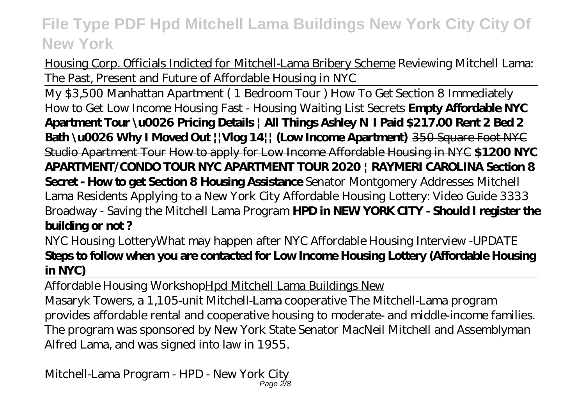Housing Corp. Officials Indicted for Mitchell-Lama Bribery Scheme Reviewing Mitchell Lama: The Past, Present and Future of Affordable Housing in NYC

My \$3,500 Manhattan Apartment ( 1 Bedroom Tour ) How To Get Section 8 Immediately How to Get Low Income Housing Fast - Housing Waiting List Secrets **Empty Affordable NYC Apartment Tour \u0026 Pricing Details | All Things Ashley N I Paid \$217.00 Rent 2 Bed 2 Bath \u0026 Why I Moved Out ||Vlog 14|| (Low Income Apartment)** 350 Square Foot NYC Studio Apartment Tour How to apply for Low Income Affordable Housing in NYC **\$1200 NYC APARTMENT/CONDO TOUR NYC APARTMENT TOUR 2020 | RAYMERI CAROLINA Section 8 Secret - How to get Section 8 Housing Assistance** *Senator Montgomery Addresses Mitchell Lama Residents Applying to a New York City Affordable Housing Lottery: Video Guide 3333 Broadway - Saving the Mitchell Lama Program* **HPD in NEW YORK CITY - Should I register the building or not ?**

NYC Housing Lottery*What may happen after NYC Affordable Housing Interview -UPDATE* **Steps to follow when you are contacted for Low Income Housing Lottery (Affordable Housing in NYC)**

Affordable Housing WorkshopHpd Mitchell Lama Buildings New

Masaryk Towers, a 1,105-unit Mitchell-Lama cooperative The Mitchell-Lama program provides affordable rental and cooperative housing to moderate- and middle-income families. The program was sponsored by New York State Senator MacNeil Mitchell and Assemblyman Alfred Lama, and was signed into law in 1955.

Mitchell-Lama Program - HPD - New York City Page 2/8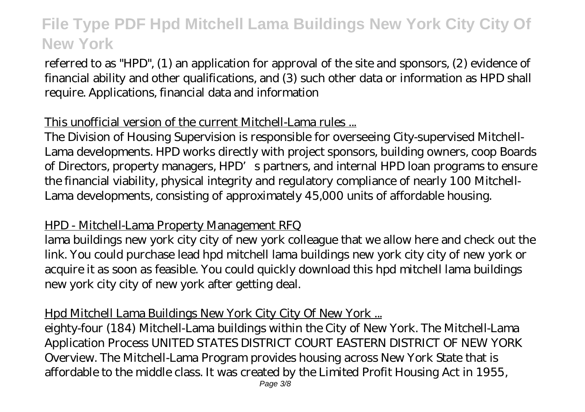referred to as "HPD", (1) an application for approval of the site and sponsors, (2) evidence of financial ability and other qualifications, and (3) such other data or information as HPD shall require. Applications, financial data and information

#### This unofficial version of the current Mitchell-Lama rules ...

The Division of Housing Supervision is responsible for overseeing City-supervised Mitchell-Lama developments. HPD works directly with project sponsors, building owners, coop Boards of Directors, property managers, HPD's partners, and internal HPD loan programs to ensure the financial viability, physical integrity and regulatory compliance of nearly 100 Mitchell-Lama developments, consisting of approximately 45,000 units of affordable housing.

#### HPD - Mitchell-Lama Property Management RFQ

lama buildings new york city city of new york colleague that we allow here and check out the link. You could purchase lead hpd mitchell lama buildings new york city city of new york or acquire it as soon as feasible. You could quickly download this hpd mitchell lama buildings new york city city of new york after getting deal.

#### Hpd Mitchell Lama Buildings New York City City Of New York ...

eighty-four (184) Mitchell-Lama buildings within the City of New York. The Mitchell-Lama Application Process UNITED STATES DISTRICT COURT EASTERN DISTRICT OF NEW YORK Overview. The Mitchell-Lama Program provides housing across New York State that is affordable to the middle class. It was created by the Limited Profit Housing Act in 1955,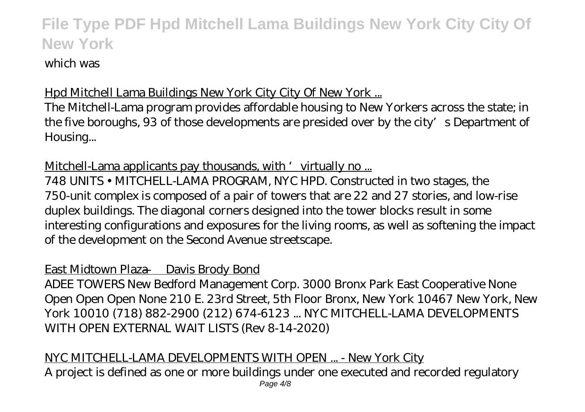#### which was

#### Hpd Mitchell Lama Buildings New York City City Of New York ...

The Mitchell-Lama program provides affordable housing to New Yorkers across the state; in the five boroughs, 93 of those developments are presided over by the city's Department of Housing...

Mitchell-Lama applicants pay thousands, with 'virtually no ...

748 UNITS • MITCHELL-LAMA PROGRAM, NYC HPD. Constructed in two stages, the 750-unit complex is composed of a pair of towers that are 22 and 27 stories, and low-rise duplex buildings. The diagonal corners designed into the tower blocks result in some interesting configurations and exposures for the living rooms, as well as softening the impact of the development on the Second Avenue streetscape.

#### East Midtown Plaza — Davis Brody Bond

ADEE TOWERS New Bedford Management Corp. 3000 Bronx Park East Cooperative None Open Open Open None 210 E. 23rd Street, 5th Floor Bronx, New York 10467 New York, New York 10010 (718) 882-2900 (212) 674-6123 ... NYC MITCHELL-LAMA DEVELOPMENTS WITH OPEN EXTERNAL WAIT LISTS (Rev 8-14-2020)

#### NYC MITCHELL-LAMA DEVELOPMENTS WITH OPEN ... - New York City A project is defined as one or more buildings under one executed and recorded regulatory Page  $4/8$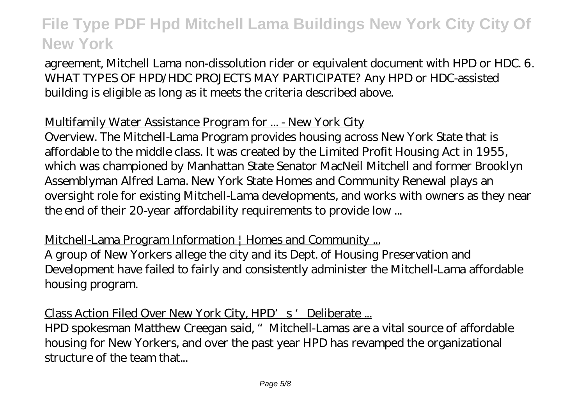agreement, Mitchell Lama non-dissolution rider or equivalent document with HPD or HDC. 6. WHAT TYPES OF HPD/HDC PROJECTS MAY PARTICIPATE? Any HPD or HDC-assisted building is eligible as long as it meets the criteria described above.

#### Multifamily Water Assistance Program for ... - New York City

Overview. The Mitchell-Lama Program provides housing across New York State that is affordable to the middle class. It was created by the Limited Profit Housing Act in 1955, which was championed by Manhattan State Senator MacNeil Mitchell and former Brooklyn Assemblyman Alfred Lama. New York State Homes and Community Renewal plays an oversight role for existing Mitchell-Lama developments, and works with owners as they near the end of their 20-year affordability requirements to provide low ...

Mitchell-Lama Program Information | Homes and Community ... A group of New Yorkers allege the city and its Dept. of Housing Preservation and Development have failed to fairly and consistently administer the Mitchell-Lama affordable housing program.

Class Action Filed Over New York City, HPD's 'Deliberate ...

HPD spokesman Matthew Creegan said, "Mitchell-Lamas are a vital source of affordable housing for New Yorkers, and over the past year HPD has revamped the organizational structure of the team that...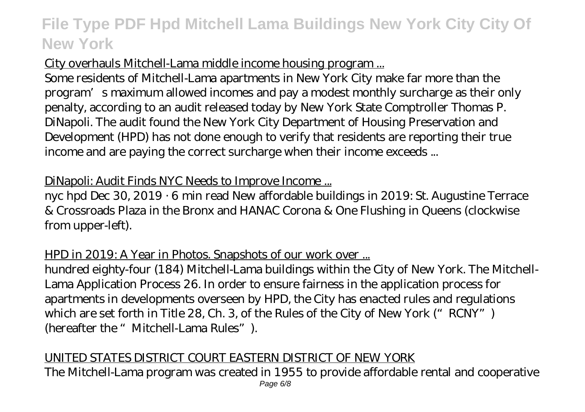#### City overhauls Mitchell-Lama middle income housing program ...

Some residents of Mitchell-Lama apartments in New York City make far more than the program's maximum allowed incomes and pay a modest monthly surcharge as their only penalty, according to an audit released today by New York State Comptroller Thomas P. DiNapoli. The audit found the New York City Department of Housing Preservation and Development (HPD) has not done enough to verify that residents are reporting their true income and are paying the correct surcharge when their income exceeds ...

#### DiNapoli: Audit Finds NYC Needs to Improve Income ...

nyc hpd Dec 30, 2019 · 6 min read New affordable buildings in 2019: St. Augustine Terrace & Crossroads Plaza in the Bronx and HANAC Corona & One Flushing in Queens (clockwise from upper-left).

#### HPD in 2019: A Year in Photos. Snapshots of our work over ...

hundred eighty-four (184) Mitchell-Lama buildings within the City of New York. The Mitchell-Lama Application Process 26. In order to ensure fairness in the application process for apartments in developments overseen by HPD, the City has enacted rules and regulations which are set forth in Title 28, Ch. 3, of the Rules of the City of New York ("RCNY") (hereafter the "Mitchell-Lama Rules").

#### UNITED STATES DISTRICT COURT EASTERN DISTRICT OF NEW YORK

The Mitchell-Lama program was created in 1955 to provide affordable rental and cooperative Page 6/8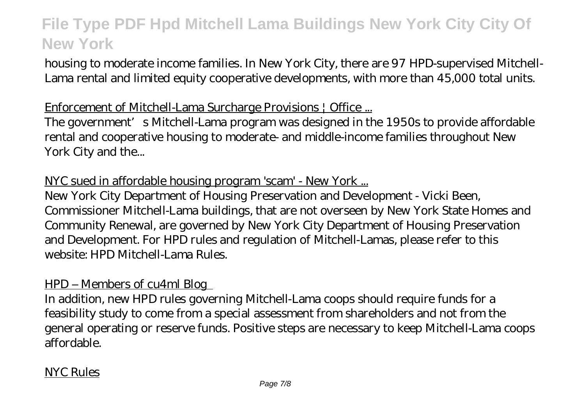housing to moderate income families. In New York City, there are 97 HPD-supervised Mitchell-Lama rental and limited equity cooperative developments, with more than 45,000 total units.

#### Enforcement of Mitchell-Lama Surcharge Provisions | Office ...

The government's Mitchell-Lama program was designed in the 1950s to provide affordable rental and cooperative housing to moderate- and middle-income families throughout New York City and the...

#### NYC sued in affordable housing program 'scam' - New York ...

New York City Department of Housing Preservation and Development - Vicki Been, Commissioner Mitchell-Lama buildings, that are not overseen by New York State Homes and Community Renewal, are governed by New York City Department of Housing Preservation and Development. For HPD rules and regulation of Mitchell-Lamas, please refer to this website: HPD Mitchell-Lama Rules.

#### HPD – Members of cu4ml Blog

In addition, new HPD rules governing Mitchell-Lama coops should require funds for a feasibility study to come from a special assessment from shareholders and not from the general operating or reserve funds. Positive steps are necessary to keep Mitchell-Lama coops affordable.

#### NYC Rules